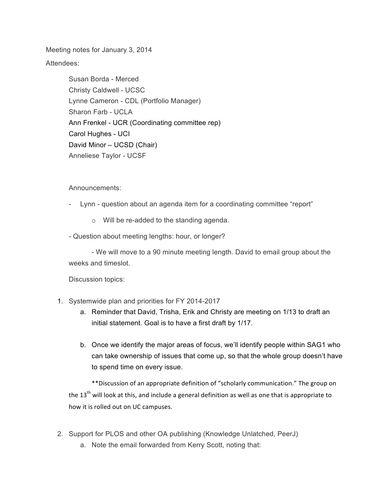Meeting notes for January 3, 2014

Attendees:

Susan Borda - Merced Christy Caldwell - UCSC Lynne Cameron - CDL (Portfolio Manager) Sharon Farb - UCLA Ann Frenkel - UCR (Coordinating committee rep) Carol Hughes - UCI David Minor – UCSD (Chair) Anneliese Taylor - UCSF

Announcements:

- Lynn question about an agenda item for a coordinating committee "report"
	- o Will be re-added to the standing agenda.
- Question about meeting lengths: hour, or longer?

- We will move to a 90 minute meeting length. David to email group about the weeks and timeslot.

Discussion topics:

- 1. Systemwide plan and priorities for FY 2014-2017
	- a. Reminder that David, Trisha, Erik and Christy are meeting on 1/13 to draft an initial statement. Goal is to have a first draft by 1/17.
	- b. Once we identify the major areas of focus, we'll identify people within SAG1 who can take ownership of issues that come up, so that the whole group doesn't have to spend time on every issue.

\*\*Discussion of an appropriate definition of "scholarly communication." The group on the  $13<sup>th</sup>$  will look at this, and include a general definition as well as one that is appropriate to how it is rolled out on UC campuses.

- 2. Support for PLOS and other OA publishing (Knowledge Unlatched, PeerJ)
	- a. Note the email forwarded from Kerry Scott, noting that: